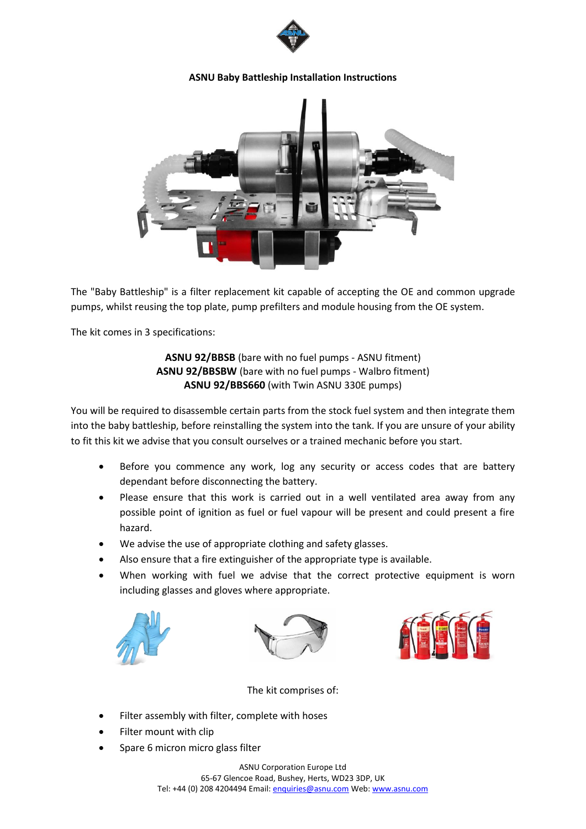

#### **ASNU Baby Battleship Installation Instructions**



The "Baby Battleship" is a filter replacement kit capable of accepting the OE and common upgrade pumps, whilst reusing the top plate, pump prefilters and module housing from the OE system.

The kit comes in 3 specifications:

**ASNU 92/BBSB** (bare with no fuel pumps - ASNU fitment) **ASNU 92/BBSBW** (bare with no fuel pumps - Walbro fitment) **ASNU 92/BBS660** (with Twin ASNU 330E pumps)

You will be required to disassemble certain parts from the stock fuel system and then integrate them into the baby battleship, before reinstalling the system into the tank. If you are unsure of your ability to fit this kit we advise that you consult ourselves or a trained mechanic before you start.

- Before you commence any work, log any security or access codes that are battery dependant before disconnecting the battery.
- Please ensure that this work is carried out in a well ventilated area away from any possible point of ignition as fuel or fuel vapour will be present and could present a fire hazard.
- We advise the use of appropriate clothing and safety glasses.
- Also ensure that a fire extinguisher of the appropriate type is available.
- When working with fuel we advise that the correct protective equipment is worn including glasses and gloves where appropriate.







The kit comprises of:

- Filter assembly with filter, complete with hoses
- Filter mount with clip
- Spare 6 micron micro glass filter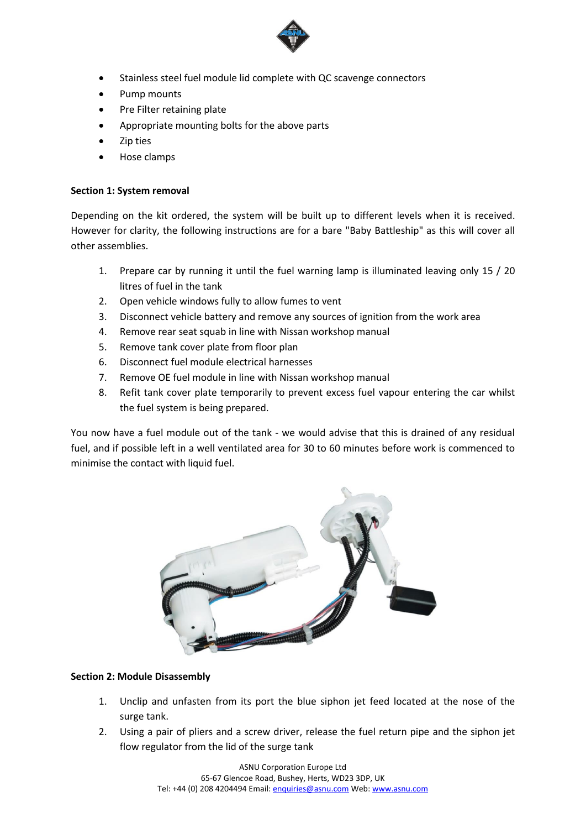

- Stainless steel fuel module lid complete with QC scavenge connectors
- Pump mounts
- Pre Filter retaining plate
- Appropriate mounting bolts for the above parts
- Zip ties
- Hose clamps

### **Section 1: System removal**

Depending on the kit ordered, the system will be built up to different levels when it is received. However for clarity, the following instructions are for a bare "Baby Battleship" as this will cover all other assemblies.

- 1. Prepare car by running it until the fuel warning lamp is illuminated leaving only 15 / 20 litres of fuel in the tank
- 2. Open vehicle windows fully to allow fumes to vent
- 3. Disconnect vehicle battery and remove any sources of ignition from the work area
- 4. Remove rear seat squab in line with Nissan workshop manual
- 5. Remove tank cover plate from floor plan
- 6. Disconnect fuel module electrical harnesses
- 7. Remove OE fuel module in line with Nissan workshop manual
- 8. Refit tank cover plate temporarily to prevent excess fuel vapour entering the car whilst the fuel system is being prepared.

You now have a fuel module out of the tank - we would advise that this is drained of any residual fuel, and if possible left in a well ventilated area for 30 to 60 minutes before work is commenced to minimise the contact with liquid fuel.



# **Section 2: Module Disassembly**

- 1. Unclip and unfasten from its port the blue siphon jet feed located at the nose of the surge tank.
- 2. Using a pair of pliers and a screw driver, release the fuel return pipe and the siphon jet flow regulator from the lid of the surge tank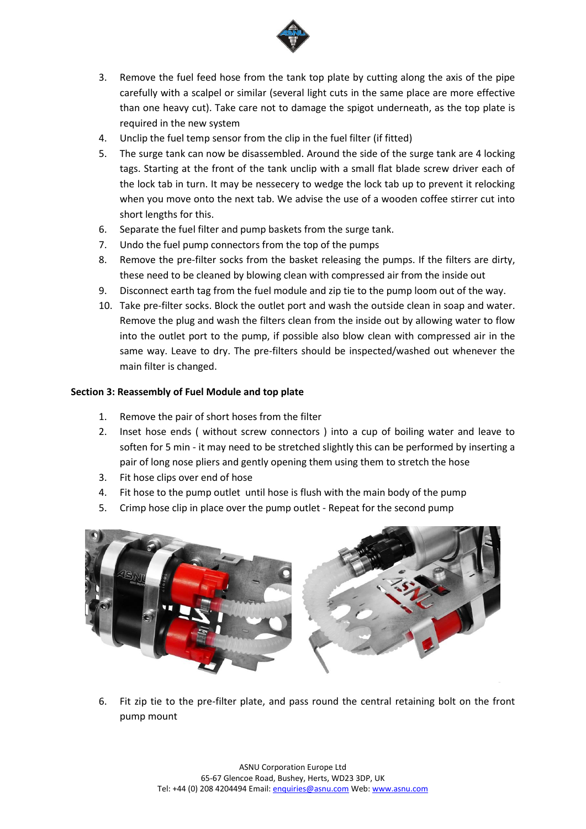

- 3. Remove the fuel feed hose from the tank top plate by cutting along the axis of the pipe carefully with a scalpel or similar (several light cuts in the same place are more effective than one heavy cut). Take care not to damage the spigot underneath, as the top plate is required in the new system
- 4. Unclip the fuel temp sensor from the clip in the fuel filter (if fitted)
- 5. The surge tank can now be disassembled. Around the side of the surge tank are 4 locking tags. Starting at the front of the tank unclip with a small flat blade screw driver each of the lock tab in turn. It may be nessecery to wedge the lock tab up to prevent it relocking when you move onto the next tab. We advise the use of a wooden coffee stirrer cut into short lengths for this.
- 6. Separate the fuel filter and pump baskets from the surge tank.
- 7. Undo the fuel pump connectors from the top of the pumps
- 8. Remove the pre-filter socks from the basket releasing the pumps. If the filters are dirty, these need to be cleaned by blowing clean with compressed air from the inside out
- 9. Disconnect earth tag from the fuel module and zip tie to the pump loom out of the way.
- 10. Take pre-filter socks. Block the outlet port and wash the outside clean in soap and water. Remove the plug and wash the filters clean from the inside out by allowing water to flow into the outlet port to the pump, if possible also blow clean with compressed air in the same way. Leave to dry. The pre-filters should be inspected/washed out whenever the main filter is changed.

## **Section 3: Reassembly of Fuel Module and top plate**

- 1. Remove the pair of short hoses from the filter
- 2. Inset hose ends ( without screw connectors ) into a cup of boiling water and leave to soften for 5 min - it may need to be stretched slightly this can be performed by inserting a pair of long nose pliers and gently opening them using them to stretch the hose
- 3. Fit hose clips over end of hose
- 4. Fit hose to the pump outlet until hose is flush with the main body of the pump
- 5. Crimp hose clip in place over the pump outlet Repeat for the second pump



6. Fit zip tie to the pre-filter plate, and pass round the central retaining bolt on the front pump mount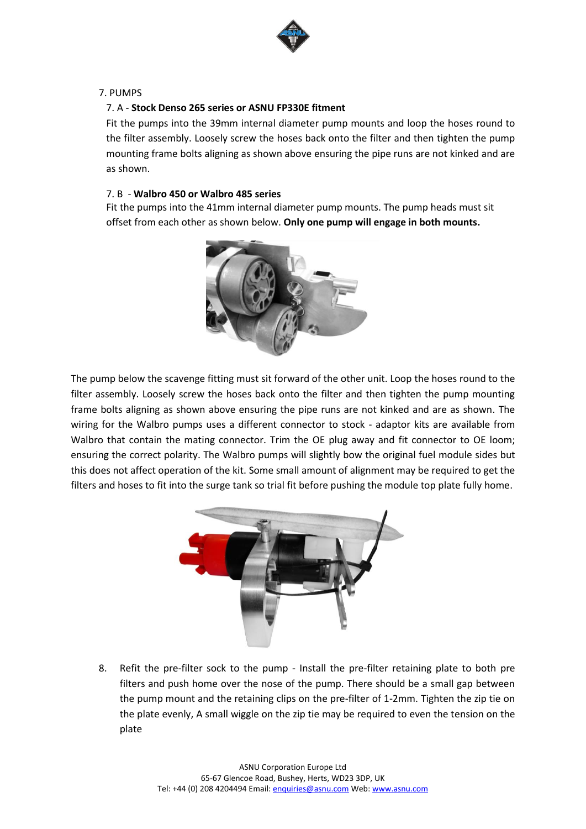

### 7. PUMPS

## 7. A - **Stock Denso 265 series or ASNU FP330E fitment**

Fit the pumps into the 39mm internal diameter pump mounts and loop the hoses round to the filter assembly. Loosely screw the hoses back onto the filter and then tighten the pump mounting frame bolts aligning as shown above ensuring the pipe runs are not kinked and are as shown.

### 7. B - **Walbro 450 or Walbro 485 series**

Fit the pumps into the 41mm internal diameter pump mounts. The pump heads must sit offset from each other as shown below. **Only one pump will engage in both mounts.**



The pump below the scavenge fitting must sit forward of the other unit. Loop the hoses round to the filter assembly. Loosely screw the hoses back onto the filter and then tighten the pump mounting frame bolts aligning as shown above ensuring the pipe runs are not kinked and are as shown. The wiring for the Walbro pumps uses a different connector to stock - adaptor kits are available from Walbro that contain the mating connector. Trim the OE plug away and fit connector to OE loom; ensuring the correct polarity. The Walbro pumps will slightly bow the original fuel module sides but this does not affect operation of the kit. Some small amount of alignment may be required to get the filters and hoses to fit into the surge tank so trial fit before pushing the module top plate fully home.



8. Refit the pre-filter sock to the pump - Install the pre-filter retaining plate to both pre filters and push home over the nose of the pump. There should be a small gap between the pump mount and the retaining clips on the pre-filter of 1-2mm. Tighten the zip tie on the plate evenly, A small wiggle on the zip tie may be required to even the tension on the plate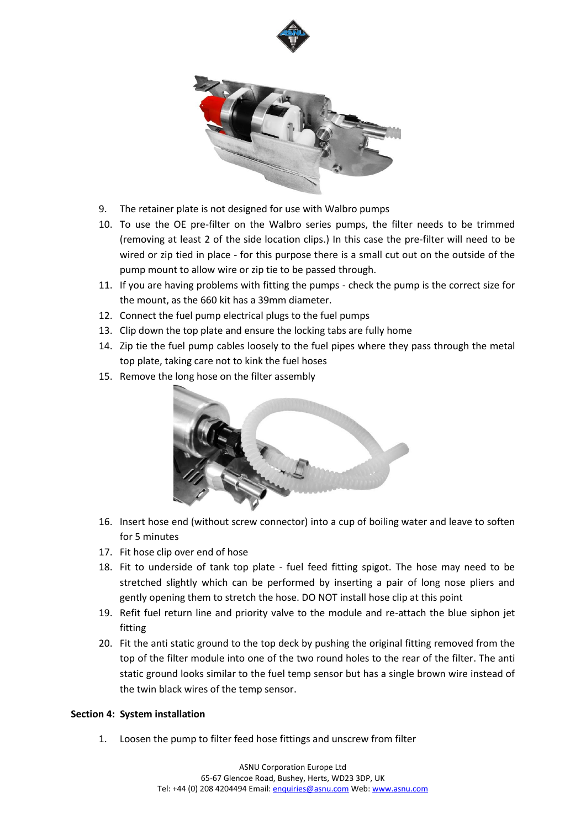



- 9. The retainer plate is not designed for use with Walbro pumps
- 10. To use the OE pre-filter on the Walbro series pumps, the filter needs to be trimmed (removing at least 2 of the side location clips.) In this case the pre-filter will need to be wired or zip tied in place - for this purpose there is a small cut out on the outside of the pump mount to allow wire or zip tie to be passed through.
- 11. If you are having problems with fitting the pumps check the pump is the correct size for the mount, as the 660 kit has a 39mm diameter.
- 12. Connect the fuel pump electrical plugs to the fuel pumps
- 13. Clip down the top plate and ensure the locking tabs are fully home
- 14. Zip tie the fuel pump cables loosely to the fuel pipes where they pass through the metal top plate, taking care not to kink the fuel hoses
- 15. Remove the long hose on the filter assembly



- 16. Insert hose end (without screw connector) into a cup of boiling water and leave to soften for 5 minutes
- 17. Fit hose clip over end of hose
- 18. Fit to underside of tank top plate fuel feed fitting spigot. The hose may need to be stretched slightly which can be performed by inserting a pair of long nose pliers and gently opening them to stretch the hose. DO NOT install hose clip at this point
- 19. Refit fuel return line and priority valve to the module and re-attach the blue siphon jet fitting
- 20. Fit the anti static ground to the top deck by pushing the original fitting removed from the top of the filter module into one of the two round holes to the rear of the filter. The anti static ground looks similar to the fuel temp sensor but has a single brown wire instead of the twin black wires of the temp sensor.

#### **Section 4: System installation**

1. Loosen the pump to filter feed hose fittings and unscrew from filter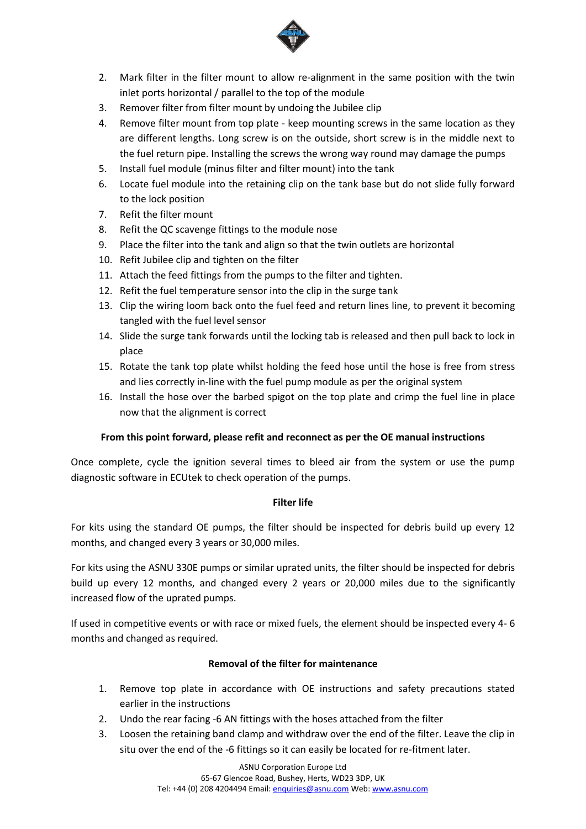

- 2. Mark filter in the filter mount to allow re-alignment in the same position with the twin inlet ports horizontal / parallel to the top of the module
- 3. Remover filter from filter mount by undoing the Jubilee clip
- 4. Remove filter mount from top plate keep mounting screws in the same location as they are different lengths. Long screw is on the outside, short screw is in the middle next to the fuel return pipe. Installing the screws the wrong way round may damage the pumps
- 5. Install fuel module (minus filter and filter mount) into the tank
- 6. Locate fuel module into the retaining clip on the tank base but do not slide fully forward to the lock position
- 7. Refit the filter mount
- 8. Refit the QC scavenge fittings to the module nose
- 9. Place the filter into the tank and align so that the twin outlets are horizontal
- 10. Refit Jubilee clip and tighten on the filter
- 11. Attach the feed fittings from the pumps to the filter and tighten.
- 12. Refit the fuel temperature sensor into the clip in the surge tank
- 13. Clip the wiring loom back onto the fuel feed and return lines line, to prevent it becoming tangled with the fuel level sensor
- 14. Slide the surge tank forwards until the locking tab is released and then pull back to lock in place
- 15. Rotate the tank top plate whilst holding the feed hose until the hose is free from stress and lies correctly in-line with the fuel pump module as per the original system
- 16. Install the hose over the barbed spigot on the top plate and crimp the fuel line in place now that the alignment is correct

# **From this point forward, please refit and reconnect as per the OE manual instructions**

Once complete, cycle the ignition several times to bleed air from the system or use the pump diagnostic software in ECUtek to check operation of the pumps.

#### **Filter life**

For kits using the standard OE pumps, the filter should be inspected for debris build up every 12 months, and changed every 3 years or 30,000 miles.

For kits using the ASNU 330E pumps or similar uprated units, the filter should be inspected for debris build up every 12 months, and changed every 2 years or 20,000 miles due to the significantly increased flow of the uprated pumps.

If used in competitive events or with race or mixed fuels, the element should be inspected every 4- 6 months and changed as required.

## **Removal of the filter for maintenance**

- 1. Remove top plate in accordance with OE instructions and safety precautions stated earlier in the instructions
- 2. Undo the rear facing -6 AN fittings with the hoses attached from the filter
- 3. Loosen the retaining band clamp and withdraw over the end of the filter. Leave the clip in situ over the end of the -6 fittings so it can easily be located for re-fitment later.